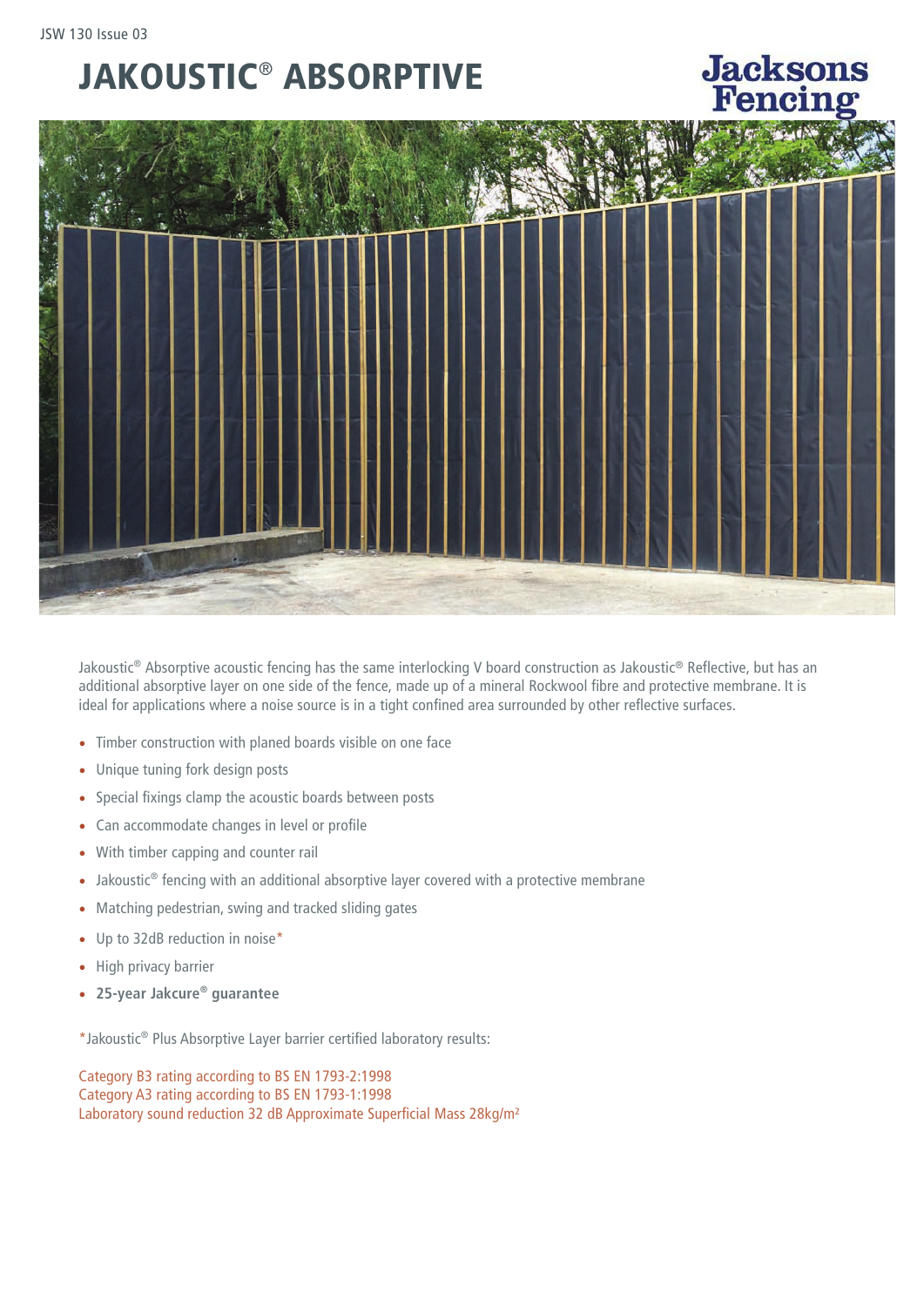## JAKOUSTIC® ABSORPTIVE



**Jacksons** 

Jakoustic® Absorptive acoustic fencing has the same interlocking V board construction as Jakoustic® Reflective, but has an additional absorptive layer on one side of the fence, made up of a mineral Rockwool fibre and protective membrane. It is ideal for applications where a noise source is in a tight confined area surrounded by other reflective surfaces.

- Timber construction with planed boards visible on one face
- Unique tuning fork design posts
- Special fixings clamp the acoustic boards between posts
- Can accommodate changes in level or profile
- With timber capping and counter rail
- Jakoustic<sup>®</sup> fencing with an additional absorptive layer covered with a protective membrane
- Matching pedestrian, swing and tracked sliding gates
- Up to 32dB reduction in noise\*
- High privacy barrier
- **25-year Jakcure® guarantee**

\*Jakoustic® Plus Absorptive Layer barrier certified laboratory results:

Category B3 rating according to BS EN 1793-2:1998 Category A3 rating according to BS EN 1793-1:1998 Laboratory sound reduction 32 dB Approximate Superficial Mass 28kg/m²